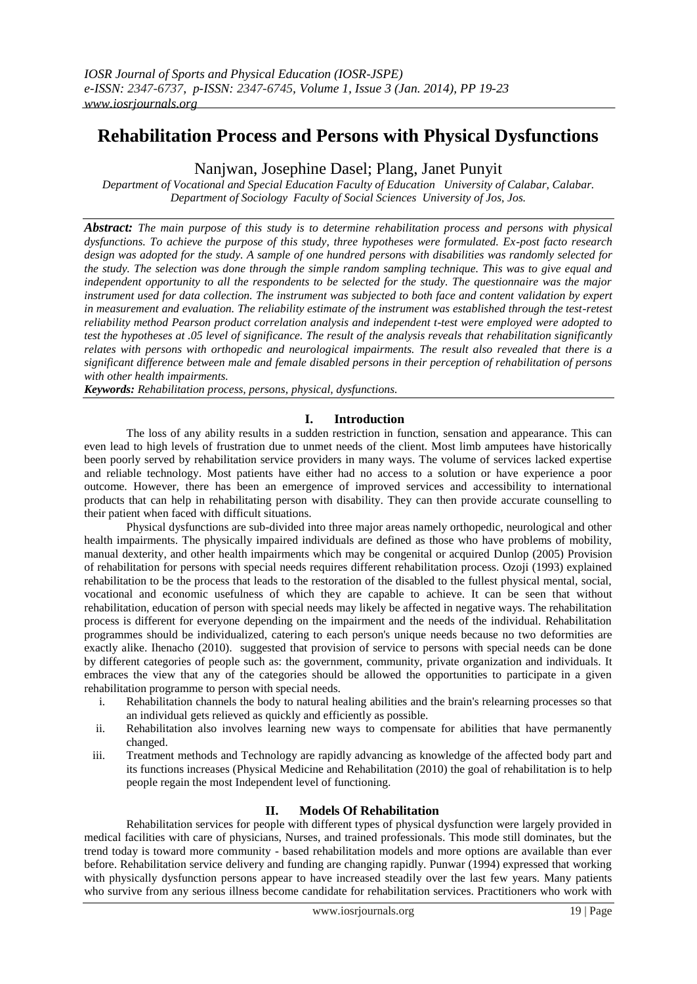# **Rehabilitation Process and Persons with Physical Dysfunctions**

Nanjwan, Josephine Dasel; Plang, Janet Punyit

*Department of Vocational and Special Education Faculty of Education University of Calabar, Calabar. Department of Sociology Faculty of Social Sciences University of Jos, Jos.*

*Abstract: The main purpose of this study is to determine rehabilitation process and persons with physical dysfunctions. To achieve the purpose of this study, three hypotheses were formulated. Ex-post facto research design was adopted for the study. A sample of one hundred persons with disabilities was randomly selected for the study. The selection was done through the simple random sampling technique. This was to give equal and independent opportunity to all the respondents to be selected for the study. The questionnaire was the major instrument used for data collection. The instrument was subjected to both face and content validation by expert*  in measurement and evaluation. The reliability estimate of the instrument was established through the test-retest *reliability method Pearson product correlation analysis and independent t-test were employed were adopted to test the hypotheses at .05 level of significance. The result of the analysis reveals that rehabilitation significantly relates with persons with orthopedic and neurological impairments. The result also revealed that there is a significant difference between male and female disabled persons in their perception of rehabilitation of persons with other health impairments.*

*Keywords: Rehabilitation process, persons, physical, dysfunctions.*

# **I. Introduction**

The loss of any ability results in a sudden restriction in function, sensation and appearance. This can even lead to high levels of frustration due to unmet needs of the client. Most limb amputees have historically been poorly served by rehabilitation service providers in many ways. The volume of services lacked expertise and reliable technology. Most patients have either had no access to a solution or have experience a poor outcome. However, there has been an emergence of improved services and accessibility to international products that can help in rehabilitating person with disability. They can then provide accurate counselling to their patient when faced with difficult situations.

Physical dysfunctions are sub-divided into three major areas namely orthopedic, neurological and other health impairments. The physically impaired individuals are defined as those who have problems of mobility, manual dexterity, and other health impairments which may be congenital or acquired Dunlop (2005) Provision of rehabilitation for persons with special needs requires different rehabilitation process. Ozoji (1993) explained rehabilitation to be the process that leads to the restoration of the disabled to the fullest physical mental, social, vocational and economic usefulness of which they are capable to achieve. It can be seen that without rehabilitation, education of person with special needs may likely be affected in negative ways. The rehabilitation process is different for everyone depending on the impairment and the needs of the individual. Rehabilitation programmes should be individualized, catering to each person's unique needs because no two deformities are exactly alike. Ihenacho (2010). suggested that provision of service to persons with special needs can be done by different categories of people such as: the government, community, private organization and individuals. It embraces the view that any of the categories should be allowed the opportunities to participate in a given rehabilitation programme to person with special needs.

- i. Rehabilitation channels the body to natural healing abilities and the brain's relearning processes so that an individual gets relieved as quickly and efficiently as possible.
- ii. Rehabilitation also involves learning new ways to compensate for abilities that have permanently changed.
- iii. Treatment methods and Technology are rapidly advancing as knowledge of the affected body part and its functions increases (Physical Medicine and Rehabilitation (2010) the goal of rehabilitation is to help people regain the most Independent level of functioning.

# **II. Models Of Rehabilitation**

Rehabilitation services for people with different types of physical dysfunction were largely provided in medical facilities with care of physicians, Nurses, and trained professionals. This mode still dominates, but the trend today is toward more community - based rehabilitation models and more options are available than ever before. Rehabilitation service delivery and funding are changing rapidly. Punwar (1994) expressed that working with physically dysfunction persons appear to have increased steadily over the last few years. Many patients who survive from any serious illness become candidate for rehabilitation services. Practitioners who work with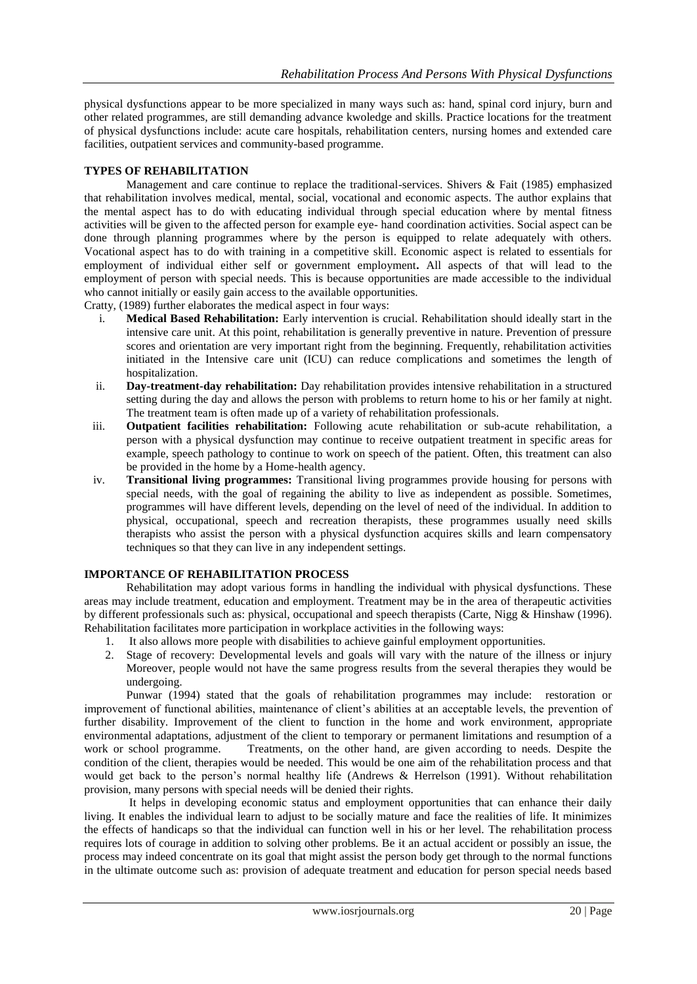physical dysfunctions appear to be more specialized in many ways such as: hand, spinal cord injury, burn and other related programmes, are still demanding advance kwoledge and skills. Practice locations for the treatment of physical dysfunctions include: acute care hospitals, rehabilitation centers, nursing homes and extended care facilities, outpatient services and community-based programme.

# **TYPES OF REHABILITATION**

Management and care continue to replace the traditional-services. Shivers & Fait (1985) emphasized that rehabilitation involves medical, mental, social, vocational and economic aspects. The author explains that the mental aspect has to do with educating individual through special education where by mental fitness activities will be given to the affected person for example eye- hand coordination activities. Social aspect can be done through planning programmes where by the person is equipped to relate adequately with others. Vocational aspect has to do with training in a competitive skill. Economic aspect is related to essentials for employment of individual either self or government employment**.** All aspects of that will lead to the employment of person with special needs. This is because opportunities are made accessible to the individual who cannot initially or easily gain access to the available opportunities.

Cratty, (1989) further elaborates the medical aspect in four ways:

- i. **Medical Based Rehabilitation:** Early intervention is crucial. Rehabilitation should ideally start in the intensive care unit. At this point, rehabilitation is generally preventive in nature. Prevention of pressure scores and orientation are very important right from the beginning. Frequently, rehabilitation activities initiated in the Intensive care unit (ICU) can reduce complications and sometimes the length of hospitalization.
- ii. **Day-treatment-day rehabilitation:** Day rehabilitation provides intensive rehabilitation in a structured setting during the day and allows the person with problems to return home to his or her family at night. The treatment team is often made up of a variety of rehabilitation professionals.
- iii. **Outpatient facilities rehabilitation:** Following acute rehabilitation or sub-acute rehabilitation, a person with a physical dysfunction may continue to receive outpatient treatment in specific areas for example, speech pathology to continue to work on speech of the patient. Often, this treatment can also be provided in the home by a Home-health agency.
- iv. **Transitional living programmes:** Transitional living programmes provide housing for persons with special needs, with the goal of regaining the ability to live as independent as possible. Sometimes, programmes will have different levels, depending on the level of need of the individual. In addition to physical, occupational, speech and recreation therapists, these programmes usually need skills therapists who assist the person with a physical dysfunction acquires skills and learn compensatory techniques so that they can live in any independent settings.

# **IMPORTANCE OF REHABILITATION PROCESS**

Rehabilitation may adopt various forms in handling the individual with physical dysfunctions. These areas may include treatment, education and employment. Treatment may be in the area of therapeutic activities by different professionals such as: physical, occupational and speech therapists (Carte, Nigg & Hinshaw (1996). Rehabilitation facilitates more participation in workplace activities in the following ways:

- 1. It also allows more people with disabilities to achieve gainful employment opportunities.
- 2. Stage of recovery: Developmental levels and goals will vary with the nature of the illness or injury Moreover, people would not have the same progress results from the several therapies they would be undergoing.

Punwar (1994) stated that the goals of rehabilitation programmes may include: restoration or improvement of functional abilities, maintenance of client's abilities at an acceptable levels, the prevention of further disability. Improvement of the client to function in the home and work environment, appropriate environmental adaptations, adjustment of the client to temporary or permanent limitations and resumption of a work or school programme. Treatments, on the other hand, are given according to needs. Despite the condition of the client, therapies would be needed. This would be one aim of the rehabilitation process and that would get back to the person's normal healthy life (Andrews & Herrelson (1991). Without rehabilitation provision, many persons with special needs will be denied their rights.

It helps in developing economic status and employment opportunities that can enhance their daily living. It enables the individual learn to adjust to be socially mature and face the realities of life. It minimizes the effects of handicaps so that the individual can function well in his or her level. The rehabilitation process requires lots of courage in addition to solving other problems. Be it an actual accident or possibly an issue, the process may indeed concentrate on its goal that might assist the person body get through to the normal functions in the ultimate outcome such as: provision of adequate treatment and education for person special needs based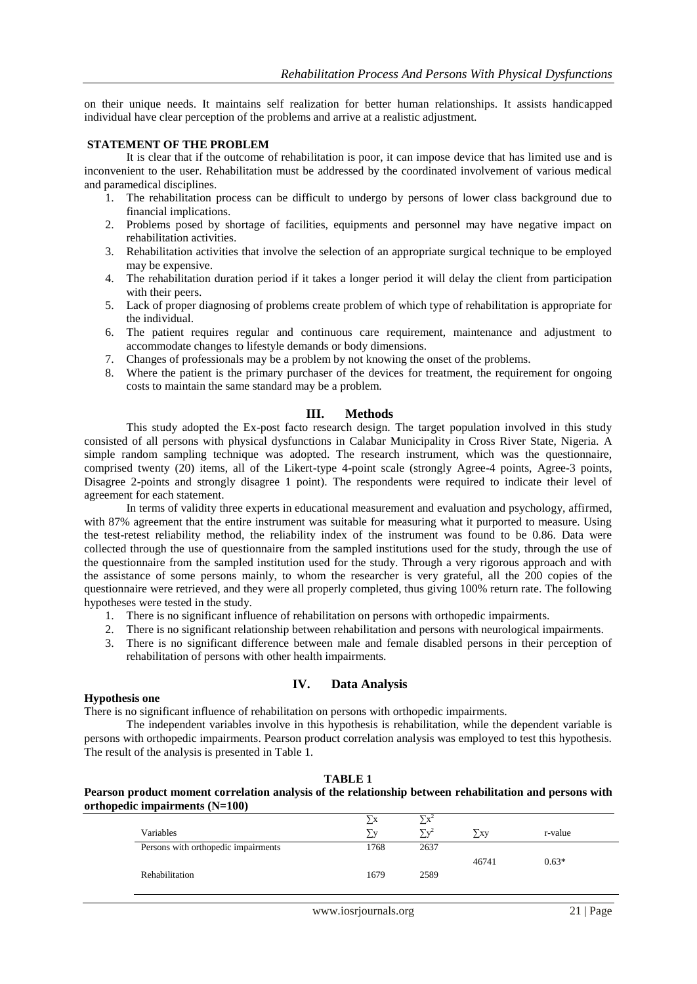on their unique needs. It maintains self realization for better human relationships. It assists handicapped individual have clear perception of the problems and arrive at a realistic adjustment.

#### **STATEMENT OF THE PROBLEM**

It is clear that if the outcome of rehabilitation is poor, it can impose device that has limited use and is inconvenient to the user. Rehabilitation must be addressed by the coordinated involvement of various medical and paramedical disciplines.

- 1. The rehabilitation process can be difficult to undergo by persons of lower class background due to financial implications.
- 2. Problems posed by shortage of facilities, equipments and personnel may have negative impact on rehabilitation activities.
- 3. Rehabilitation activities that involve the selection of an appropriate surgical technique to be employed may be expensive.
- 4. The rehabilitation duration period if it takes a longer period it will delay the client from participation with their peers.
- 5. Lack of proper diagnosing of problems create problem of which type of rehabilitation is appropriate for the individual.
- 6. The patient requires regular and continuous care requirement, maintenance and adjustment to accommodate changes to lifestyle demands or body dimensions.
- 7. Changes of professionals may be a problem by not knowing the onset of the problems.
- 8. Where the patient is the primary purchaser of the devices for treatment, the requirement for ongoing costs to maintain the same standard may be a problem.

## **III. Methods**

This study adopted the Ex-post facto research design. The target population involved in this study consisted of all persons with physical dysfunctions in Calabar Municipality in Cross River State, Nigeria. A simple random sampling technique was adopted. The research instrument, which was the questionnaire, comprised twenty (20) items, all of the Likert-type 4-point scale (strongly Agree-4 points, Agree-3 points, Disagree 2-points and strongly disagree 1 point). The respondents were required to indicate their level of agreement for each statement.

In terms of validity three experts in educational measurement and evaluation and psychology, affirmed, with 87% agreement that the entire instrument was suitable for measuring what it purported to measure. Using the test-retest reliability method, the reliability index of the instrument was found to be 0.86. Data were collected through the use of questionnaire from the sampled institutions used for the study, through the use of the questionnaire from the sampled institution used for the study. Through a very rigorous approach and with the assistance of some persons mainly, to whom the researcher is very grateful, all the 200 copies of the questionnaire were retrieved, and they were all properly completed, thus giving 100% return rate. The following hypotheses were tested in the study.

- 1. There is no significant influence of rehabilitation on persons with orthopedic impairments.
- 2. There is no significant relationship between rehabilitation and persons with neurological impairments.
- 3. There is no significant difference between male and female disabled persons in their perception of rehabilitation of persons with other health impairments.

#### **IV. Data Analysis**

#### **Hypothesis one**

There is no significant influence of rehabilitation on persons with orthopedic impairments.

The independent variables involve in this hypothesis is rehabilitation, while the dependent variable is persons with orthopedic impairments. Pearson product correlation analysis was employed to test this hypothesis. The result of the analysis is presented in Table 1.

## **TABLE 1**

## **Pearson product moment correlation analysis of the relationship between rehabilitation and persons with orthopedic impairments (N=100)**

| Variables                           | ΣV   | $\nabla$ v <sup>2</sup> | > xy  | r-value |
|-------------------------------------|------|-------------------------|-------|---------|
| Persons with orthopedic impairments | 1768 | 2637                    |       |         |
|                                     |      |                         | 46741 | $0.63*$ |
| Rehabilitation                      | 1679 | 2589                    |       |         |
|                                     |      |                         |       |         |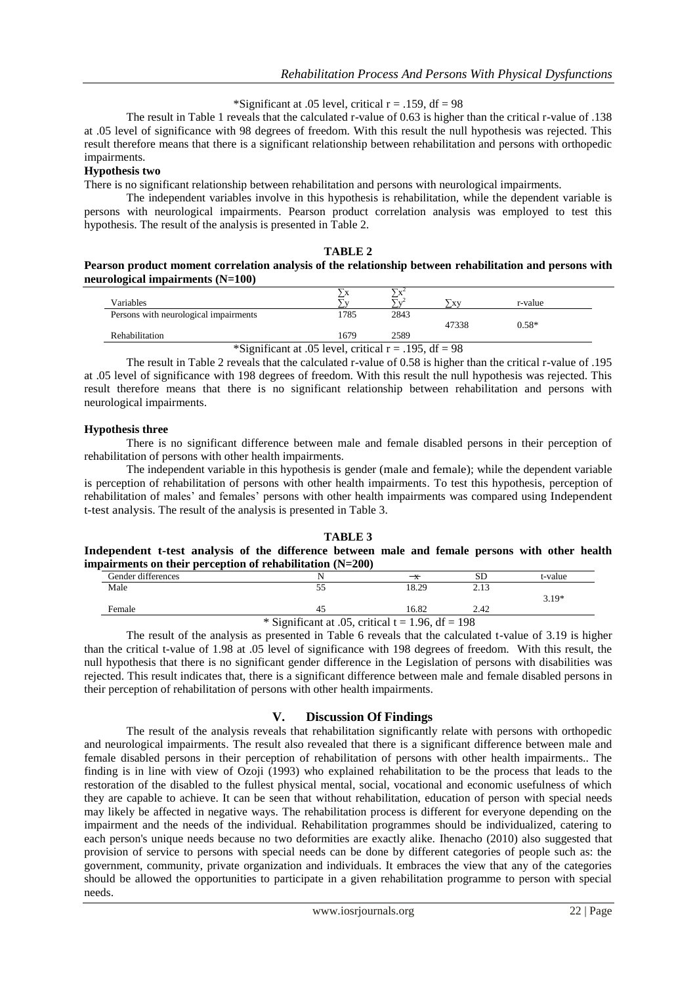\*Significant at .05 level, critical  $r = .159$ , df = 98

The result in Table 1 reveals that the calculated r-value of 0.63 is higher than the critical r-value of .138 at .05 level of significance with 98 degrees of freedom. With this result the null hypothesis was rejected. This result therefore means that there is a significant relationship between rehabilitation and persons with orthopedic impairments.

## **Hypothesis two**

There is no significant relationship between rehabilitation and persons with neurological impairments.

The independent variables involve in this hypothesis is rehabilitation, while the dependent variable is persons with neurological impairments. Pearson product correlation analysis was employed to test this hypothesis. The result of the analysis is presented in Table 2.

## **TABLE 2**

## **Pearson product moment correlation analysis of the relationship between rehabilitation and persons with neurological impairments (N=100)**

| Variables                                                |      |      | <b>XV</b> | r-value |  |  |  |  |
|----------------------------------------------------------|------|------|-----------|---------|--|--|--|--|
| Persons with neurological impairments                    | 1785 | 2843 |           |         |  |  |  |  |
|                                                          |      |      | 47338     | $0.58*$ |  |  |  |  |
| <b>Rehabilitation</b>                                    | 1679 | 2589 |           |         |  |  |  |  |
| *Significant at .05 level, critical $r = .195$ , df = 98 |      |      |           |         |  |  |  |  |

The result in Table 2 reveals that the calculated r-value of 0.58 is higher than the critical r-value of .195 at .05 level of significance with 198 degrees of freedom. With this result the null hypothesis was rejected. This result therefore means that there is no significant relationship between rehabilitation and persons with neurological impairments.

## **Hypothesis three**

There is no significant difference between male and female disabled persons in their perception of rehabilitation of persons with other health impairments.

The independent variable in this hypothesis is gender (male and female); while the dependent variable is perception of rehabilitation of persons with other health impairments. To test this hypothesis, perception of rehabilitation of males' and females' persons with other health impairments was compared using Independent t-test analysis. The result of the analysis is presented in Table 3.

#### **TABLE 3 Independent t-test analysis of the difference between male and female persons with other health impairments on their perception of rehabilitation (N=200)**

| $\mathbf u$ pan ments on their perception or rehabilitation $(\mathbf x + \mathbf z)$ |    |       |      |         |  |  |  |  |
|---------------------------------------------------------------------------------------|----|-------|------|---------|--|--|--|--|
| Gender differences                                                                    |    |       |      | t-value |  |  |  |  |
| Male                                                                                  |    | 18.29 |      |         |  |  |  |  |
|                                                                                       |    |       |      | $319*$  |  |  |  |  |
| Female                                                                                | 45 | 16.82 | 2.42 |         |  |  |  |  |
| $\frac{*}{*}$ Significant at .05. critical t = 1.96. df = 198                         |    |       |      |         |  |  |  |  |

The result of the analysis as presented in Table 6 reveals that the calculated t-value of 3.19 is higher than the critical t-value of 1.98 at .05 level of significance with 198 degrees of freedom. With this result, the null hypothesis that there is no significant gender difference in the Legislation of persons with disabilities was rejected. This result indicates that, there is a significant difference between male and female disabled persons in their perception of rehabilitation of persons with other health impairments.

# **V. Discussion Of Findings**

The result of the analysis reveals that rehabilitation significantly relate with persons with orthopedic and neurological impairments. The result also revealed that there is a significant difference between male and female disabled persons in their perception of rehabilitation of persons with other health impairments.. The finding is in line with view of Ozoji (1993) who explained rehabilitation to be the process that leads to the restoration of the disabled to the fullest physical mental, social, vocational and economic usefulness of which they are capable to achieve. It can be seen that without rehabilitation, education of person with special needs may likely be affected in negative ways. The rehabilitation process is different for everyone depending on the impairment and the needs of the individual. Rehabilitation programmes should be individualized, catering to each person's unique needs because no two deformities are exactly alike. Ihenacho (2010) also suggested that provision of service to persons with special needs can be done by different categories of people such as: the government, community, private organization and individuals. It embraces the view that any of the categories should be allowed the opportunities to participate in a given rehabilitation programme to person with special needs.